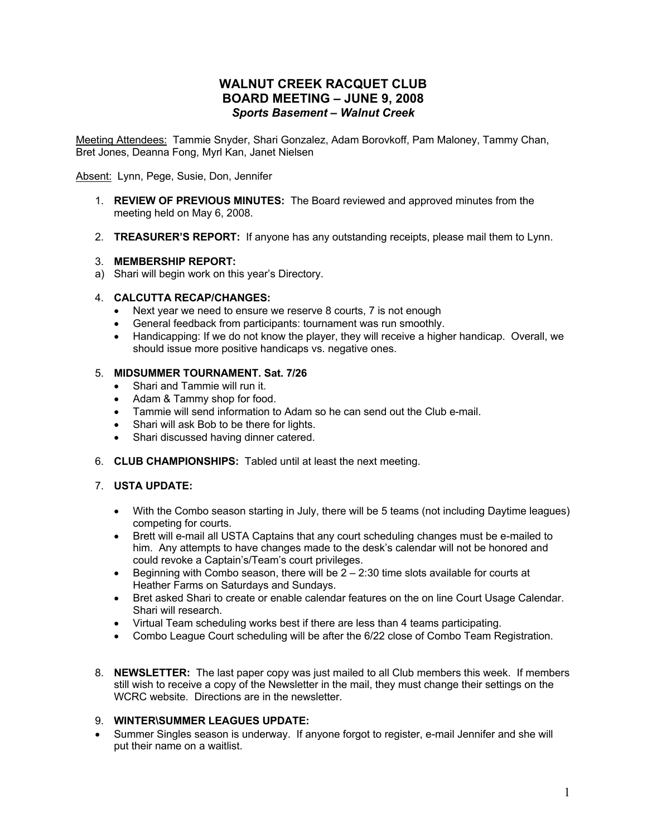# **WALNUT CREEK RACQUET CLUB BOARD MEETING – JUNE 9, 2008** *Sports Basement – Walnut Creek*

Meeting Attendees: Tammie Snyder, Shari Gonzalez, Adam Borovkoff, Pam Maloney, Tammy Chan, Bret Jones, Deanna Fong, Myrl Kan, Janet Nielsen

Absent: Lynn, Pege, Susie, Don, Jennifer

- 1. **REVIEW OF PREVIOUS MINUTES:**The Board reviewed and approved minutes from the meeting held on May 6, 2008.
- 2. **TREASURER'S REPORT:** If anyone has any outstanding receipts, please mail them to Lynn.

## 3. **MEMBERSHIP REPORT:**

a) Shari will begin work on this year's Directory.

#### 4. **CALCUTTA RECAP/CHANGES:**

- Next year we need to ensure we reserve 8 courts, 7 is not enough
- General feedback from participants: tournament was run smoothly.
- Handicapping: If we do not know the player, they will receive a higher handicap. Overall, we should issue more positive handicaps vs. negative ones.

### 5. **MIDSUMMER TOURNAMENT. Sat. 7/26**

- Shari and Tammie will run it.
- Adam & Tammy shop for food.
- Tammie will send information to Adam so he can send out the Club e-mail.
- Shari will ask Bob to be there for lights.
- Shari discussed having dinner catered.
- 6. **CLUB CHAMPIONSHIPS:** Tabled until at least the next meeting.

#### 7. **USTA UPDATE:**

- With the Combo season starting in July, there will be 5 teams (not including Daytime leagues) competing for courts.
- Brett will e-mail all USTA Captains that any court scheduling changes must be e-mailed to him. Any attempts to have changes made to the desk's calendar will not be honored and could revoke a Captain's/Team's court privileges.
- Beginning with Combo season, there will be  $2 2:30$  time slots available for courts at Heather Farms on Saturdays and Sundays.
- Bret asked Shari to create or enable calendar features on the on line Court Usage Calendar. Shari will research.
- Virtual Team scheduling works best if there are less than 4 teams participating.
- Combo League Court scheduling will be after the 6/22 close of Combo Team Registration.
- 8. **NEWSLETTER:** The last paper copy was just mailed to all Club members this week. If members still wish to receive a copy of the Newsletter in the mail, they must change their settings on the WCRC website. Directions are in the newsletter.

### 9. **WINTER\SUMMER LEAGUES UPDATE:**

• Summer Singles season is underway. If anyone forgot to register, e-mail Jennifer and she will put their name on a waitlist.